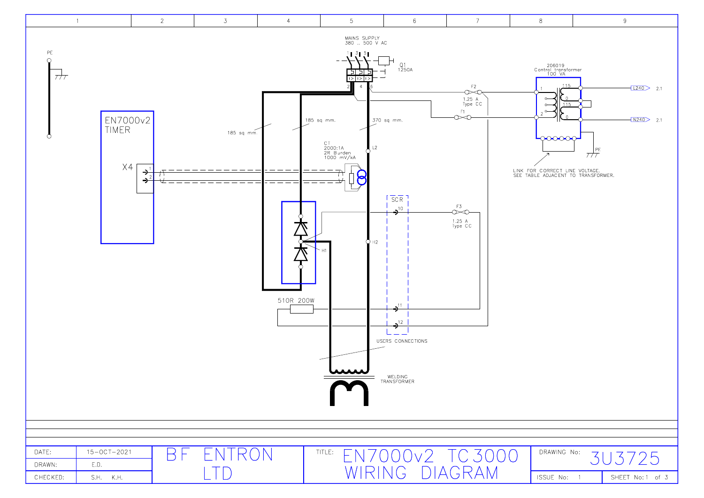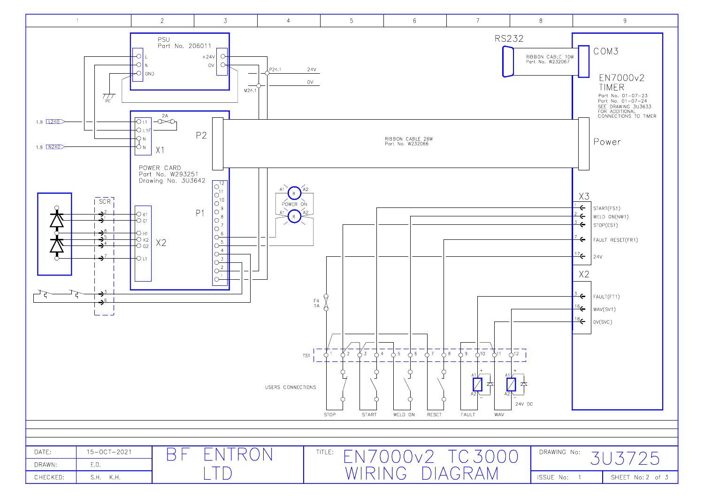